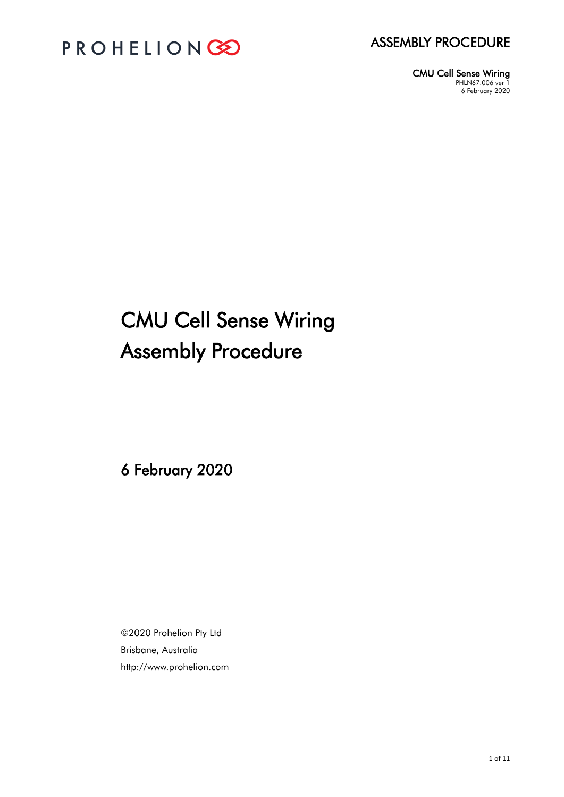

CMU Cell Sense Wiring PHLN67.006 ver 1 6 February 2020

# CMU Cell Sense Wiring Assembly Procedure

6 February 2020

©2020 Prohelion Pty Ltd Brisbane, Australia http://www.prohelion.com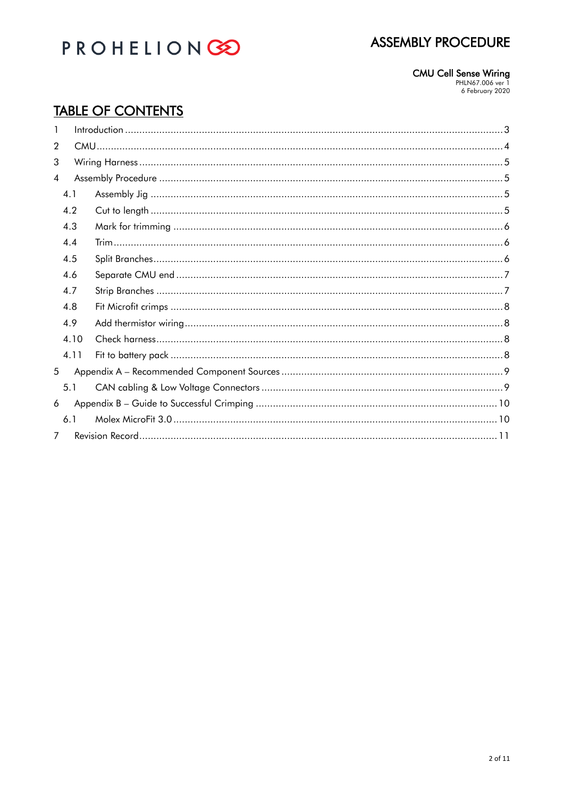# PROHELIONGO

# **ASSEMBLY PROCEDURE**

#### **CMU Cell Sense Wiring**

PHLN67.006 ver 1<br>6 February 2020

# **TABLE OF CONTENTS**

| $\overline{2}$ |      |  |
|----------------|------|--|
| 3              |      |  |
| 4              |      |  |
|                | 4.1  |  |
|                | 4.2  |  |
|                | 4.3  |  |
|                | 4.4  |  |
|                | 4.5  |  |
|                | 4.6  |  |
|                | 4.7  |  |
|                | 4.8  |  |
|                | 4.9  |  |
|                | 4.10 |  |
|                | 4.11 |  |
| 5              |      |  |
|                | 5.1  |  |
| 6              |      |  |
|                | 6.1  |  |
| 7              |      |  |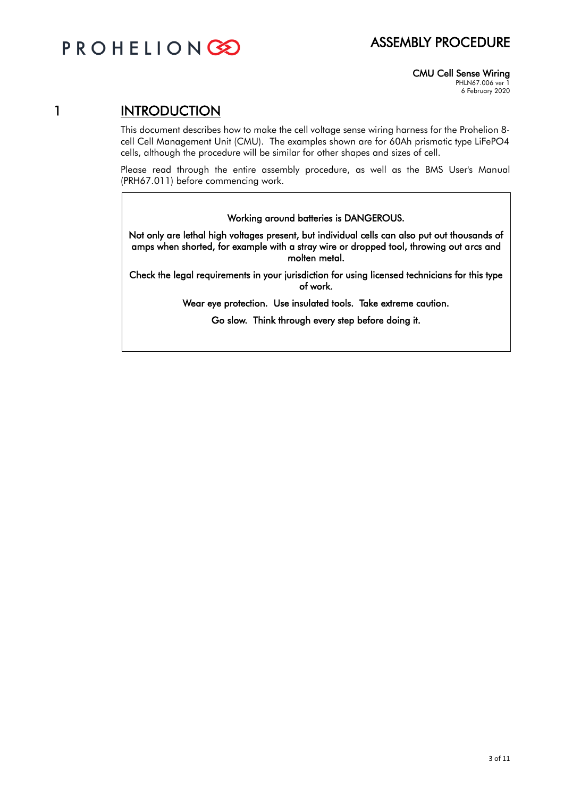

CMU Cell Sense Wiring PHLN67.006 ver 1

6 February 2020

### 1 INTRODUCTION

This document describes how to make the cell voltage sense wiring harness for the Prohelion 8 cell Cell Management Unit (CMU). The examples shown are for 60Ah prismatic type LiFePO4 cells, although the procedure will be similar for other shapes and sizes of cell.

Please read through the entire assembly procedure, as well as the BMS User's Manual (PRH67.011) before commencing work.

#### Working around batteries is DANGEROUS.

Not only are lethal high voltages present, but individual cells can also put out thousands of amps when shorted, for example with a stray wire or dropped tool, throwing out arcs and molten metal.

Check the legal requirements in your jurisdiction for using licensed technicians for this type of work.

Wear eye protection. Use insulated tools. Take extreme caution.

Go slow. Think through every step before doing it.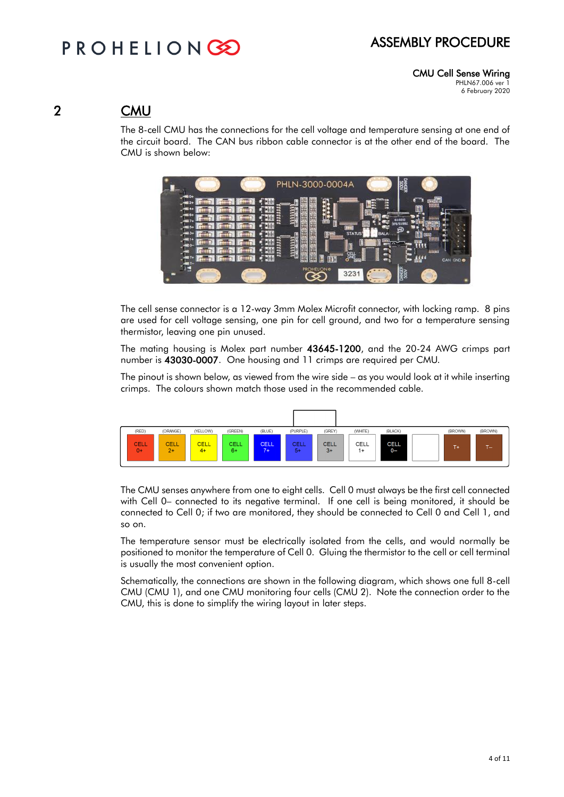# PROHELIONG

CMU Cell Sense Wiring PHLN67.006 ver 1

6 February 2020

### 2 CMU

The 8-cell CMU has the connections for the cell voltage and temperature sensing at one end of the circuit board. The CAN bus ribbon cable connector is at the other end of the board. The CMU is shown below:



The cell sense connector is a 12-way 3mm Molex Microfit connector, with locking ramp. 8 pins are used for cell voltage sensing, one pin for cell ground, and two for a temperature sensing thermistor, leaving one pin unused.

The mating housing is Molex part number 43645-1200, and the 20-24 AWG crimps part number is 43030-0007. One housing and 11 crimps are required per CMU.

The pinout is shown below, as viewed from the wire side – as you would look at it while inserting crimps. The colours shown match those used in the recommended cable.



The CMU senses anywhere from one to eight cells. Cell 0 must always be the first cell connected with Cell 0– connected to its negative terminal. If one cell is being monitored, it should be connected to Cell 0; if two are monitored, they should be connected to Cell 0 and Cell 1, and so on.

The temperature sensor must be electrically isolated from the cells, and would normally be positioned to monitor the temperature of Cell 0. Gluing the thermistor to the cell or cell terminal is usually the most convenient option.

Schematically, the connections are shown in the following diagram, which shows one full 8-cell CMU (CMU 1), and one CMU monitoring four cells (CMU 2). Note the connection order to the CMU, this is done to simplify the wiring layout in later steps.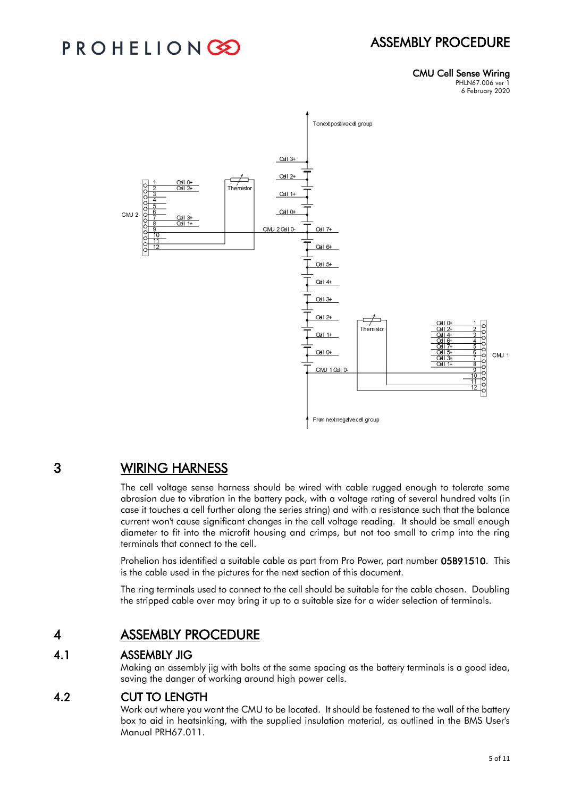# PROHELIONG

#### CMU Cell Sense Wiring

PHLN67.006 ver 1 6 February 2020



### 3 WIRING HARNESS

The cell voltage sense harness should be wired with cable rugged enough to tolerate some abrasion due to vibration in the battery pack, with a voltage rating of several hundred volts (in case it touches a cell further along the series string) and with a resistance such that the balance current won't cause significant changes in the cell voltage reading. It should be small enough diameter to fit into the microfit housing and crimps, but not too small to crimp into the ring terminals that connect to the cell.

Prohelion has identified a suitable cable as part from Pro Power, part number 05B91510. This is the cable used in the pictures for the next section of this document.

The ring terminals used to connect to the cell should be suitable for the cable chosen. Doubling the stripped cable over may bring it up to a suitable size for a wider selection of terminals.

### 4 ASSEMBLY PROCEDURE

#### 4.1 ASSEMBLY JIG

Making an assembly jig with bolts at the same spacing as the battery terminals is a good idea, saving the danger of working around high power cells.

#### 4.2 CUT TO LENGTH

Work out where you want the CMU to be located. It should be fastened to the wall of the battery box to aid in heatsinking, with the supplied insulation material, as outlined in the BMS User's Manual PRH67.011.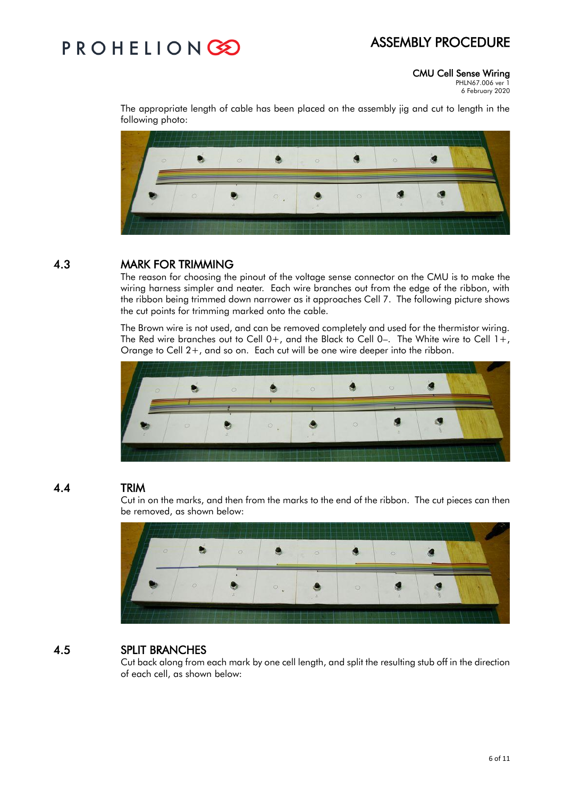# **PROHELIONG**

#### CMU Cell Sense Wiring

PHLN67.006 ver 1 6 February 2020

The appropriate length of cable has been placed on the assembly jig and cut to length in the following photo:



### 4.3 MARK FOR TRIMMING

The reason for choosing the pinout of the voltage sense connector on the CMU is to make the wiring harness simpler and neater. Each wire branches out from the edge of the ribbon, with the ribbon being trimmed down narrower as it approaches Cell 7. The following picture shows the cut points for trimming marked onto the cable.

The Brown wire is not used, and can be removed completely and used for the thermistor wiring. The Red wire branches out to Cell  $0+$ , and the Black to Cell  $0-$ . The White wire to Cell  $1+$ , Orange to Cell 2+, and so on. Each cut will be one wire deeper into the ribbon.



### 4.4 TRIM

Cut in on the marks, and then from the marks to the end of the ribbon. The cut pieces can then be removed, as shown below:



### 4.5 SPLIT BRANCHES

Cut back along from each mark by one cell length, and split the resulting stub off in the direction of each cell, as shown below: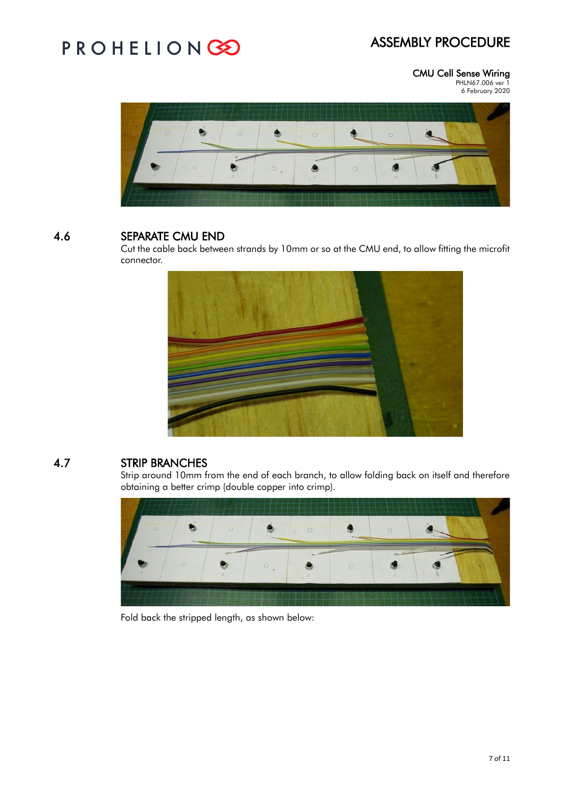# PROHELIONGO

#### CMU Cell Sense Wiring

PHLN67.006 ver 1 6 February 2020



#### 4.6 SEPARATE CMU END

Cut the cable back between strands by 10mm or so at the CMU end, to allow fitting the microfit connector.



#### 4.7 STRIP BRANCHES

Strip around 10mm from the end of each branch, to allow folding back on itself and therefore obtaining a better crimp (double copper into crimp).



Fold back the stripped length, as shown below: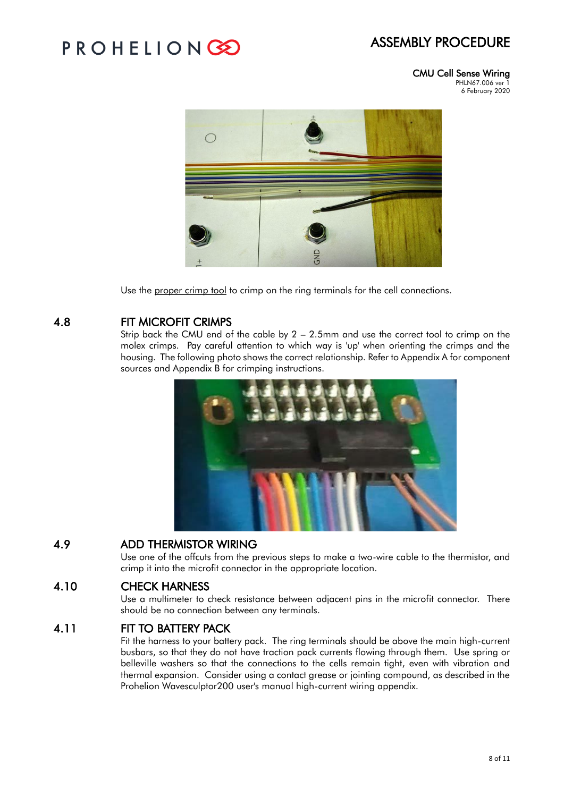# PROHELIONG

#### CMU Cell Sense Wiring

PHLN67.006 ver 1 6 February 2020



Use the proper crimp tool to crimp on the ring terminals for the cell connections.

#### 4.8 FIT MICROFIT CRIMPS

Strip back the CMU end of the cable by 2 – 2.5mm and use the correct tool to crimp on the molex crimps. Pay careful attention to which way is 'up' when orienting the crimps and the housing. The following photo shows the correct relationship. Refer to Appendix A for component sources and Appendix B for crimping instructions.



### 4.9 ADD THERMISTOR WIRING

Use one of the offcuts from the previous steps to make a two-wire cable to the thermistor, and crimp it into the microfit connector in the appropriate location.

#### 4.10 CHECK HARNESS

Use a multimeter to check resistance between adjacent pins in the microfit connector. There should be no connection between any terminals.

#### 4.11 FIT TO BATTERY PACK

Fit the harness to your battery pack. The ring terminals should be above the main high-current busbars, so that they do not have traction pack currents flowing through them. Use spring or belleville washers so that the connections to the cells remain tight, even with vibration and thermal expansion. Consider using a contact grease or jointing compound, as described in the Prohelion Wavesculptor200 user's manual high-current wiring appendix.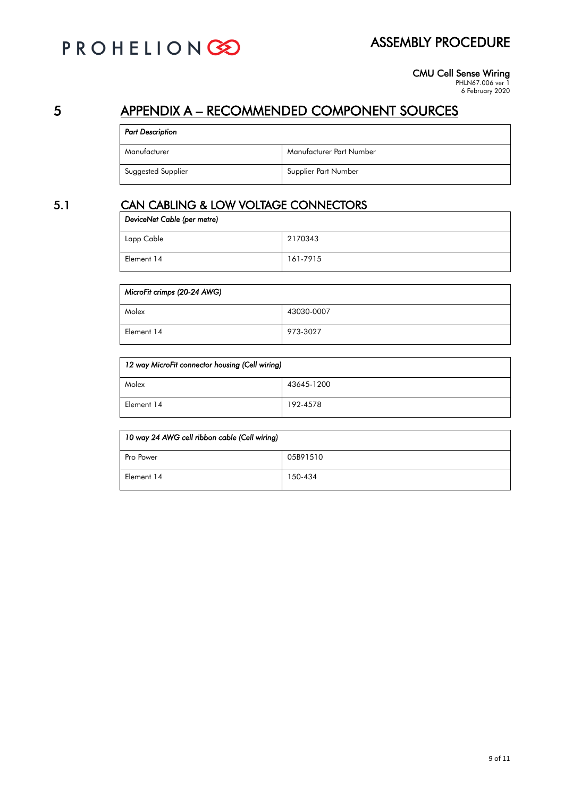# PROHELIONGO

CMU Cell Sense Wiring PHLN67.006 ver 1

6 February 2020

# 5 APPENDIX A – RECOMMENDED COMPONENT SOURCES

| <b>Part Description</b> |                          |  |  |  |
|-------------------------|--------------------------|--|--|--|
| Manufacturer            | Manufacturer Part Number |  |  |  |
| Suggested Supplier      | Supplier Part Number     |  |  |  |

## 5.1 CAN CABLING & LOW VOLTAGE CONNECTORS

| DeviceNet Cable (per metre) |          |  |  |  |
|-----------------------------|----------|--|--|--|
| Lapp Cable                  | 2170343  |  |  |  |
| Element 14                  | 161-7915 |  |  |  |

| MicroFit crimps (20-24 AWG) |            |  |  |
|-----------------------------|------------|--|--|
| Molex                       | 43030-0007 |  |  |
| Element 14                  | 973-3027   |  |  |

| 12 way MicroFit connector housing (Cell wiring) |            |  |  |
|-------------------------------------------------|------------|--|--|
| Molex                                           | 43645-1200 |  |  |
| Element 14                                      | 192-4578   |  |  |

| 10 way 24 AWG cell ribbon cable (Cell wiring) |          |  |  |  |  |
|-----------------------------------------------|----------|--|--|--|--|
| Pro Power                                     | 05B91510 |  |  |  |  |
| Element 14                                    | 150-434  |  |  |  |  |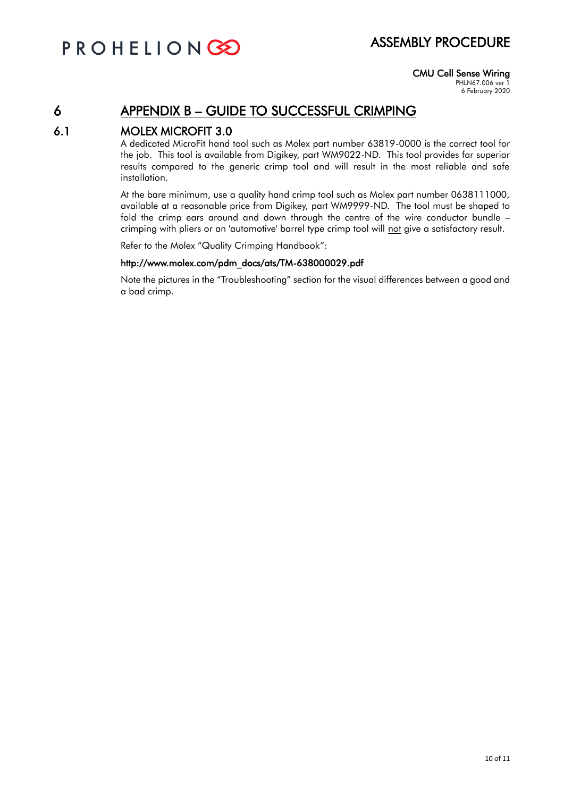# **PROHELIONG**

### ASSEMBLY PROCEDURE

CMU Cell Sense Wiring PHLN67.006 ver 1

6 February 2020

# 6 APPENDIX B – GUIDE TO SUCCESSFUL CRIMPING

#### 6.1 MOLEX MICROFIT 3.0

A dedicated MicroFit hand tool such as Molex part number 63819-0000 is the correct tool for the job. This tool is available from Digikey, part WM9022-ND. This tool provides far superior results compared to the generic crimp tool and will result in the most reliable and safe installation.

At the bare minimum, use a quality hand crimp tool such as Molex part number 0638111000, available at a reasonable price from Digikey, part WM9999-ND. The tool must be shaped to fold the crimp ears around and down through the centre of the wire conductor bundle – crimping with pliers or an 'automotive' barrel type crimp tool will not give a satisfactory result.

Refer to the Molex "Quality Crimping Handbook":

#### http://www.molex.com/pdm\_docs/ats/TM-638000029.pdf

Note the pictures in the "Troubleshooting" section for the visual differences between a good and a bad crimp.